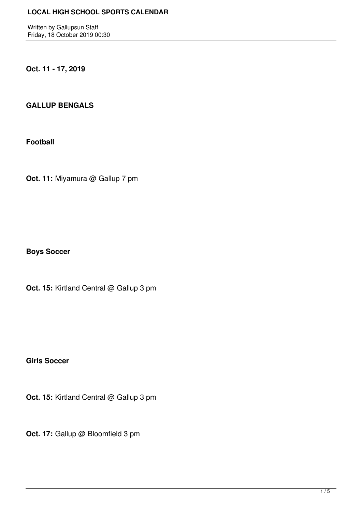Written by Gallupsun Staff Friday, 18 October 2019 00:30

### **Oct. 11 - 17, 2019**

### **GALLUP BENGALS**

**Football**

**Oct. 11:** Miyamura @ Gallup 7 pm

**Boys Soccer**

**Oct. 15:** Kirtland Central @ Gallup 3 pm

**Girls Soccer**

**Oct. 15:** Kirtland Central @ Gallup 3 pm

**Oct. 17:** Gallup @ Bloomfield 3 pm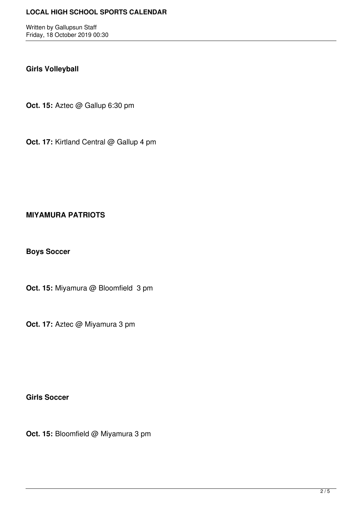Written by Gallupsun Staff Friday, 18 October 2019 00:30

### **Girls Volleyball**

**Oct. 15:** Aztec @ Gallup 6:30 pm

**Oct. 17:** Kirtland Central @ Gallup 4 pm

# **MIYAMURA PATRIOTS**

**Boys Soccer**

**Oct. 15:** Miyamura @ Bloomfield 3 pm

**Oct. 17:** Aztec @ Miyamura 3 pm

**Girls Soccer**

**Oct. 15:** Bloomfield @ Miyamura 3 pm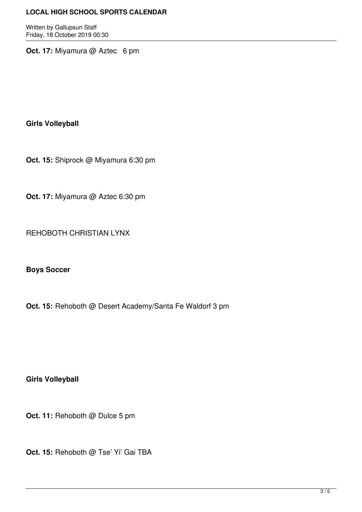Written by Gallupsun Staff Friday, 18 October 2019 00:30

**Oct. 17:** Miyamura @ Aztec 6 pm

**Girls Volleyball**

**Oct. 15:** Shiprock @ Miyamura 6:30 pm

**Oct. 17:** Miyamura @ Aztec 6:30 pm

REHOBOTH CHRISTIAN LYNX

**Boys Soccer**

**Oct. 15:** Rehoboth @ Desert Academy/Santa Fe Waldorf 3 pm

**Girls Volleyball**

**Oct. 11:** Rehoboth @ Dulce 5 pm

**Oct. 15:** Rehoboth @ Tse' Yi' Gai TBA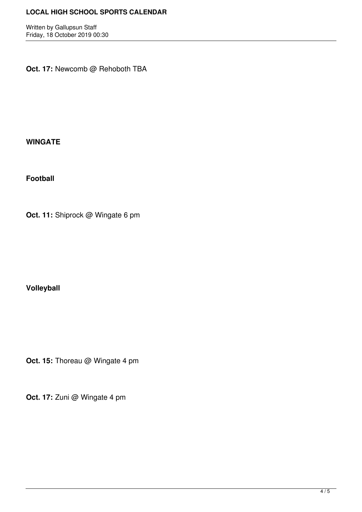Written by Gallupsun Staff Friday, 18 October 2019 00:30

Oct. 17: Newcomb @ Rehoboth TBA

**WINGATE**

**Football**

**Oct. 11:** Shiprock @ Wingate 6 pm

**Volleyball**

**Oct. 15:** Thoreau @ Wingate 4 pm

**Oct. 17:** Zuni @ Wingate 4 pm